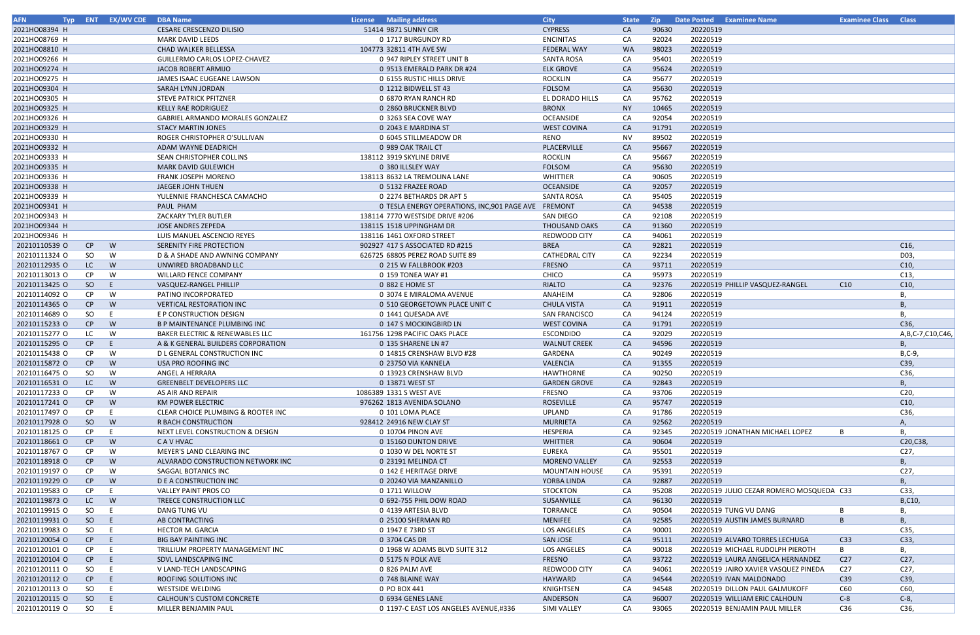| <b>AFN</b>    |           | Typ ENT EX/WV CDE | <b>DBA Name</b>                            | License Mailing address                              | <b>City</b>           | <b>State</b> | <b>Zip</b> | Date Posted Examinee Name                | <b>Examinee Class Class</b> |                  |
|---------------|-----------|-------------------|--------------------------------------------|------------------------------------------------------|-----------------------|--------------|------------|------------------------------------------|-----------------------------|------------------|
| 2021HO08394 H |           |                   | <b>CESARE CRESCENZO DILISIO</b>            | 51414 9871 SUNNY CIR                                 | <b>CYPRESS</b>        | <b>CA</b>    | 90630      | 20220519                                 |                             |                  |
| 2021HO08769 H |           |                   | <b>MARK DAVID LEEDS</b>                    | 0 1717 BURGUNDY RD                                   | <b>ENCINITAS</b>      | CA           | 92024      | 20220519                                 |                             |                  |
| 2021HO08810 H |           |                   | CHAD WALKER BELLESSA                       | 104773 32811 4TH AVE SW                              | <b>FEDERAL WAY</b>    | <b>WA</b>    | 98023      | 20220519                                 |                             |                  |
| 2021HO09266 H |           |                   | GUILLERMO CARLOS LOPEZ-CHAVEZ              | 0 947 RIPLEY STREET UNIT B                           | <b>SANTA ROSA</b>     | CA           | 95401      | 20220519                                 |                             |                  |
| 2021HO09274 H |           |                   | JACOB ROBERT ARMIJO                        | 0 9513 EMERALD PARK DR #24                           | <b>ELK GROVE</b>      | CA           | 95624      | 20220519                                 |                             |                  |
| 2021HO09275 H |           |                   | JAMES ISAAC EUGEANE LAWSON                 | 0 6155 RUSTIC HILLS DRIVE                            | <b>ROCKLIN</b>        | CA           | 95677      | 20220519                                 |                             |                  |
| 2021HO09304 H |           |                   | SARAH LYNN JORDAN                          | 0 1212 BIDWELL ST 43                                 | FOLSOM                | CA           | 95630      | 20220519                                 |                             |                  |
| 2021HO09305 H |           |                   | STEVE PATRICK PFITZNER                     | 0 6870 RYAN RANCH RD                                 | EL DORADO HILLS       | CA           | 95762      | 20220519                                 |                             |                  |
| 2021HO09325 H |           |                   | <b>KELLY RAE RODRIGUEZ</b>                 | 0 2860 BRUCKNER BLVD                                 | <b>BRONX</b>          | <b>NY</b>    | 10465      | 20220519                                 |                             |                  |
| 2021HO09326 H |           |                   | GABRIEL ARMANDO MORALES GONZALEZ           | 0 3263 SEA COVE WAY                                  | <b>OCEANSIDE</b>      | CA           | 92054      | 20220519                                 |                             |                  |
| 2021HO09329 H |           |                   | <b>STACY MARTIN JONES</b>                  | 0 2043 E MARDINA ST                                  | <b>WEST COVINA</b>    | CA           | 91791      | 20220519                                 |                             |                  |
| 2021HO09330 H |           |                   | ROGER CHRISTOPHER O'SULLIVAN               | 0 6045 STILLMEADOW DR                                | RENO                  | <b>NV</b>    | 89502      | 20220519                                 |                             |                  |
| 2021HO09332 H |           |                   |                                            |                                                      | PLACERVILLE           |              | 95667      | 20220519                                 |                             |                  |
|               |           |                   | ADAM WAYNE DEADRICH                        | 0 989 OAK TRAIL CT                                   |                       | CA           |            |                                          |                             |                  |
| 2021HO09333 H |           |                   | SEAN CHRISTOPHER COLLINS                   | 138112 3919 SKYLINE DRIVE                            | <b>ROCKLIN</b>        | CA           | 95667      | 20220519                                 |                             |                  |
| 2021HO09335 H |           |                   | <b>MARK DAVID GULEWICH</b>                 | 0 380 ILLSLEY WAY                                    | FOLSOM                | CA           | 95630      | 20220519                                 |                             |                  |
| 2021HO09336 H |           |                   | <b>FRANK JOSEPH MORENO</b>                 | 138113 8632 LA TREMOLINA LANE                        | WHITTIER              | CA           | 90605      | 20220519                                 |                             |                  |
| 2021HO09338 H |           |                   | <b>JAEGER JOHN THUEN</b>                   | 0 5132 FRAZEE ROAD                                   | <b>OCEANSIDE</b>      | CA           | 92057      | 20220519                                 |                             |                  |
| 2021HO09339 H |           |                   | YULENNIE FRANCHESCA CAMACHO                | 0 2274 BETHARDS DR APT 5                             | <b>SANTA ROSA</b>     | CA           | 95405      | 20220519                                 |                             |                  |
| 2021HO09341 H |           |                   | PAUL PHAM                                  | O TESLA ENERGY OPERATIONS, INC, 901 PAGE AVE FREMONT |                       | CA           | 94538      | 20220519                                 |                             |                  |
| 2021HO09343 H |           |                   | <b>ZACKARY TYLER BUTLER</b>                | 138114 7770 WESTSIDE DRIVE #206                      | SAN DIEGO             | CA           | 92108      | 20220519                                 |                             |                  |
| 2021HO09344 H |           |                   | <b>JOSE ANDRES ZEPEDA</b>                  | 138115 1518 UPPINGHAM DR                             | <b>THOUSAND OAKS</b>  | CA           | 91360      | 20220519                                 |                             |                  |
| 2021HO09346 H |           |                   | LUIS MANUEL ASCENCIO REYES                 | 138116 1461 OXFORD STREET                            | REDWOOD CITY          | CA           | 94061      | 20220519                                 |                             |                  |
| 20210110539 O | CP        | W                 | SERENITY FIRE PROTECTION                   | 902927 417 S ASSOCIATED RD #215                      | <b>BREA</b>           | CA           | 92821      | 20220519                                 |                             | C16,             |
| 20210111324 O | SO.       | W                 | D & A SHADE AND AWNING COMPANY             | 626725 68805 PEREZ ROAD SUITE 89                     | <b>CATHEDRAL CITY</b> | CA           | 92234      | 20220519                                 |                             | D03,             |
| 20210112935 O | LC        | W                 | UNWIRED BROADBAND LLC                      | 0 215 W FALLBROOK #203                               | <b>FRESNO</b>         | <b>CA</b>    | 93711      | 20220519                                 |                             | C10,             |
| 20210113013 O | CP.       | W                 | <b>WILLARD FENCE COMPANY</b>               | 0 159 TONEA WAY #1                                   | <b>CHICO</b>          | CA           | 95973      | 20220519                                 |                             | C13,             |
| 20210113425 O | SO        | -E.               | VASQUEZ-RANGEL PHILLIP                     | 0 882 E HOME ST                                      | RIALTO                | CA           | 92376      | 20220519 PHILLIP VASQUEZ-RANGEL          | C10                         | C10,             |
| 20210114092 O | CP.       | W                 | PATINO INCORPORATED                        | 0 3074 E MIRALOMA AVENUE                             | ANAHEIM               | CA           | 92806      | 20220519                                 |                             | В,               |
| 20210114365 O | CP        | W                 | <b>VERTICAL RESTORATION INC</b>            | 0 510 GEORGETOWN PLACE UNIT C                        | <b>CHULA VISTA</b>    | CA           | 91911      | 20220519                                 |                             | В,               |
| 20210114689 O | SO        | E                 | E P CONSTRUCTION DESIGN                    | 0 1441 QUESADA AVE                                   | <b>SAN FRANCISCO</b>  | CA           | 94124      | 20220519                                 |                             | В,               |
| 20210115233 O | CP        | W                 | <b>B P MAINTENANCE PLUMBING INC</b>        | 0 147 S MOCKINGBIRD LN                               | <b>WEST COVINA</b>    | CA           | 91791      | 20220519                                 |                             | C36,             |
| 20210115277 O | LC.       | W                 | <b>BAKER ELECTRIC &amp; RENEWABLES LLC</b> | 161756 1298 PACIFIC OAKS PLACE                       | <b>ESCONDIDO</b>      | CA           | 92029      | 20220519                                 |                             | A,B,C-7,C10,C46, |
| 20210115295 O | CP        | E                 | A & K GENERAL BUILDERS CORPORATION         | 0 135 SHARENE LN #7                                  | <b>WALNUT CREEK</b>   | CA           | 94596      | 20220519                                 |                             | Β.               |
| 20210115438 O | CP.       | W                 | D L GENERAL CONSTRUCTION INC               | 0 14815 CRENSHAW BLVD #28                            | GARDENA               | CA           | 90249      | 20220519                                 |                             | $B, C-9,$        |
| 20210115872 0 | CP        | W                 | USA PRO ROOFING INC                        | 0 23750 VIA KANNELA                                  | VALENCIA              | CA           | 91355      | 20220519                                 |                             | C39,             |
| 20210116475 O | SO        | W                 | ANGEL A HERRARA                            | 0 13923 CRENSHAW BLVD                                | HAWTHORNE             | CA           | 90250      | 20220519                                 |                             | C36,             |
| 20210116531 0 | LC.       | W                 | <b>GREENBELT DEVELOPERS LLC</b>            | 0 13871 WEST ST                                      | <b>GARDEN GROVE</b>   | <b>CA</b>    | 92843      | 20220519                                 |                             | В,               |
| 20210117233 O | CP.       | W                 | AS AIR AND REPAIR                          | 1086389 1331 S WEST AVE                              | FRESNO                | CA           | 93706      | 20220519                                 |                             | C20,             |
| 20210117241 0 | CP        | W                 | KM POWER ELECTRIC                          | 976262 1813 AVENIDA SOLANO                           | <b>ROSEVILLE</b>      | CA           | 95747      | 20220519                                 |                             | C10,             |
| 20210117497 O | CP        |                   | CLEAR CHOICE PLUMBING & ROOTER INC         | 0 101 LOMA PLACE                                     | UPLAND                | CA           | 91786      | 20220519                                 |                             | C36,             |
| 20210117928 O | SO        | W                 | R BACH CONSTRUCTION                        | 928412 24916 NEW CLAY ST                             | <b>MURRIETA</b>       | CA           | 92562      | 20220519                                 |                             | А,               |
|               | CP        |                   | NEXT LEVEL CONSTRUCTION & DESIGN           | 0 10704 PINON AVE                                    | HESPERIA              |              | 92345      | 20220519 JONATHAN MICHAEL LOPEZ          |                             |                  |
| 20210118125 O |           |                   |                                            |                                                      |                       | CA           | 90604      |                                          |                             | В,<br>C20, C38,  |
| 20210118661 O | CP        | W                 | C A V HVAC                                 | 0 15160 DUNTON DRIVE                                 | <b>WHITTIER</b>       | CA           |            | 20220519                                 |                             |                  |
| 20210118767 O | CP        | W                 | MEYER'S LAND CLEARING INC                  | 0 1030 W DEL NORTE ST                                | EUREKA                | CA           | 95501      | 20220519                                 |                             | C27,             |
| 20210118918 O | CP        | W                 | ALVARADO CONSTRUCTION NETWORK INC          | 0 23191 MELINDA CT                                   | <b>MORENO VALLEY</b>  | CA           | 92553      | 20220519                                 |                             | B,               |
| 20210119197 O | <b>CP</b> | W                 | SAGGAL BOTANICS INC                        | 0 142 E HERITAGE DRIVE                               | MOUNTAIN HOUSE        | CA           | 95391      | 20220519                                 |                             | C27,             |
| 20210119229 O | CP        | W                 | <b>DEA CONSTRUCTION INC</b>                | 0 20240 VIA MANZANILLO                               | YORBA LINDA           | CA           | 92887      | 20220519                                 |                             | В,               |
| 20210119583 O | CP        | - E               | <b>VALLEY PAINT PROS CO</b>                | 0 1711 WILLOW                                        | STOCKTON              | CA           | 95208      | 20220519 JULIO CEZAR ROMERO MOSQUEDA C33 |                             | C33,             |
| 20210119873 O | LC        | W                 | TREECE CONSTRUCTION LLC                    | 0 692-755 PHIL DOW ROAD                              | SUSANVILLE            | CA           | 96130      | 20220519                                 |                             | B,C10,           |
| 20210119915 O | SO        | E                 | DANG TUNG VU                               | 0 4139 ARTESIA BLVD                                  | TORRANCE              | CA           | 90504      | 20220519 TUNG VU DANG                    | B                           | В,               |
| 20210119931 O | SO        | - E               | AB CONTRACTING                             | 0 25100 SHERMAN RD                                   | <b>MENIFEE</b>        | CA           | 92585      | 20220519 AUSTIN JAMES BURNARD            | B                           | В,               |
| 20210119983 O | SO        | E                 | <b>HECTOR M. GARCIA</b>                    | 0 1947 E 73RD ST                                     | <b>LOS ANGELES</b>    | CA           | 90001      | 20220519                                 |                             | C35,             |
| 20210120054 O | CP        | - E               | <b>BIG BAY PAINTING INC</b>                | 0 3704 CAS DR                                        | SAN JOSE              | CA           | 95111      | 20220519 ALVARO TORRES LECHUGA           | C33                         | C33,             |
| 20210120101 O | CP.       | - E               | TRILLIUM PROPERTY MANAGEMENT INC           | 0 1968 W ADAMS BLVD SUITE 312                        | <b>LOS ANGELES</b>    | CA           | 90018      | 20220519 MICHAEL RUDOLPH PIEROTH         | B                           | В,               |
| 20210120104 O | CP        | - E               | SDVL LANDSCAPING INC                       | 0 5175 N POLK AVE                                    | <b>FRESNO</b>         | CA           | 93722      | 20220519 LAURA ANGELICA HERNANDEZ        | C <sub>27</sub>             | C27,             |
| 20210120111 0 | SO        | - E               | V LAND-TECH LANDSCAPING                    | 0 826 PALM AVE                                       | REDWOOD CITY          | CA           | 94061      | 20220519 JAIRO XAVIER VASQUEZ PINEDA     | C <sub>27</sub>             | C27,             |
| 20210120112 0 | CP        | - E               | ROOFING SOLUTIONS INC                      | 0 748 BLAINE WAY                                     | HAYWARD               | CA           | 94544      | 20220519 IVAN MALDONADO                  | C39                         | C39,             |
| 20210120113 O | SO        | - E               | WESTSIDE WELDING                           | 0 PO BOX 441                                         | KNIGHTSEN             | CA           | 94548      | 20220519 DILLON PAUL GALMUKOFF           | C60                         | C60,             |
| 20210120115 O | SO        | - E               | CALHOUN'S CUSTOM CONCRETE                  | 0 6934 GENES LANE                                    | ANDERSON              | CA           | 96007      | 20220519 WILLIAM ERIC CALHOUN            | $C-8$                       | $C-8$ ,          |
| 20210120119 O | SO        | - E               | MILLER BENJAMIN PAUL                       | 0 1197-C EAST LOS ANGELES AVENUE,#336                | SIMI VALLEY           | CA           | 93065      | 20220519 BENJAMIN PAUL MILLER            | C36                         | C36,             |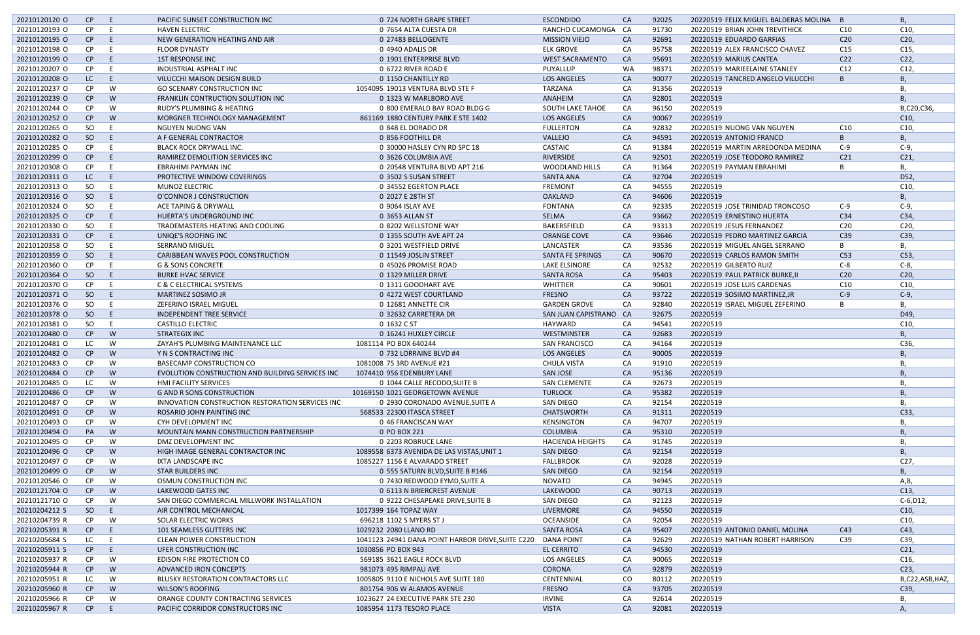| 20210120120 O | CP        | -E  | PACIFIC SUNSET CONSTRUCTION INC                  | 0 724 NORTH GRAPE STREET                          | <b>ESCONDIDO</b>        | <b>CA</b> | 92025 | 20220519 FELIX MIGUEL BALDERAS MOLINA B |                 | В,              |
|---------------|-----------|-----|--------------------------------------------------|---------------------------------------------------|-------------------------|-----------|-------|-----------------------------------------|-----------------|-----------------|
| 20210120193 0 | <b>CP</b> |     | <b>HAVEN ELECTRIC</b>                            | 0 7654 ALTA CUESTA DR                             | RANCHO CUCAMONGA CA     |           | 91730 | 20220519 BRIAN JOHN TREVITHICK          | C10             | C10,            |
| 20210120195 O | CP        | -E  | NEW GENERATION HEATING AND AIR                   | 0 27483 BELLOGENTE                                | <b>MISSION VIEJO</b>    | CA        | 92691 | 20220519 EDUARDO GARFIAS                | C <sub>20</sub> | C <sub>20</sub> |
| 20210120198 O | <b>CP</b> |     | <b>FLOOR DYNASTY</b>                             | 0 4940 ADALIS DR                                  | <b>ELK GROVE</b>        | CA        | 95758 | 20220519 ALEX FRANCISCO CHAVEZ          | C15             | C15,            |
| 20210120199 O | CP        | -E  | <b>1ST RESPONSE INC</b>                          | 0 1901 ENTERPRISE BLVD                            | <b>WEST SACRAMENTO</b>  | CA        | 95691 | 20220519 MARIUS CANTEA                  | C <sub>22</sub> | C <sub>22</sub> |
| 20210120207 O | <b>CP</b> | - E | INDUSTRIAL ASPHALT INC                           | 0 6722 RIVER ROAD E                               | PUYALLUP                | <b>WA</b> | 98371 | 20220519 MARIEELAINE STANLEY            | C12             | C12,            |
| 20210120208 O | LC        | - E |                                                  | 0 1150 CHANTILLY RD                               | <b>LOS ANGELES</b>      | CA        | 90077 |                                         |                 | В,              |
|               |           |     | VILUCCHI MAISON DESIGN BUILD                     |                                                   |                         |           |       | 20220519 TANCRED ANGELO VILUCCHI        |                 |                 |
| 20210120237 O | CP        | W   | <b>GO SCENARY CONSTRUCTION INC</b>               | 1054095 19013 VENTURA BLVD STE F                  | TARZANA                 | CA        | 91356 | 20220519                                |                 | В,              |
| 20210120239 O | CP        | W   | <b>FRANKLIN CONTRUCTION SOLUTION INC</b>         | 0 1323 W MARLBORO AVE                             | ANAHEIM                 | CA        | 92801 | 20220519                                |                 | <b>B.</b>       |
| 20210120244 O | CP.       | W   | RUDY'S PLUMBING & HEATING                        | 0 800 EMERALD BAY ROAD BLDG G                     | <b>SOUTH LAKE TAHOE</b> | CA        | 96150 | 20220519                                |                 | B,C20,C36,      |
| 20210120252 O | CP        | W   | MORGNER TECHNOLOGY MANAGEMENT                    | 861169 1880 CENTURY PARK E STE 1402               | <b>LOS ANGELES</b>      | <b>CA</b> | 90067 | 20220519                                |                 | C10,            |
| 20210120265 O | SO        | - E | NGUYEN NUONG VAN                                 | 0 848 EL DORADO DR                                | <b>FULLERTON</b>        | CA        | 92832 | 20220519 NUONG VAN NGUYEN               | C10             | C10,            |
| 20210120282 O | SO        | -E  | A F GENERAL CONTRACTOR                           | 0 856 FOOTHILL DR                                 | VALLEJO                 | CA        | 94591 | 20220519 ANTONIO FRANCO                 |                 | <b>B</b> ,      |
| 20210120285 O | CP        |     | BLACK ROCK DRYWALL INC.                          | 0 30000 HASLEY CYN RD SPC 18                      | CASTAIC                 | CA        | 91384 | 20220519 MARTIN ARREDONDA MEDINA        | $C-9$           | $C-9$           |
| 20210120299 O | CP        | F   | RAMIREZ DEMOLITION SERVICES INC                  | 0 3626 COLUMBIA AVE                               | <b>RIVERSIDE</b>        | <b>CA</b> | 92501 | 20220519 JOSE TEODORO RAMIREZ           | C <sub>21</sub> | C <sub>21</sub> |
| 20210120308 O | CP        | -E  | EBRAHIMI PAYMAN INC                              | 0 20548 VENTURA BLVD APT 216                      | <b>WOODLAND HILLS</b>   | CA        | 91364 | 20220519 PAYMAN EBRAHIMI                |                 | В,              |
| 20210120311 0 | LC        | – E | PROTECTIVE WINDOW COVERINGS                      | 0 3502 S SUSAN STREET                             | <b>SANTA ANA</b>        | CA        | 92704 | 20220519                                |                 | D52,            |
| 20210120313 O | SO        | E   | <b>MUNOZ ELECTRIC</b>                            | 0 34552 EGERTON PLACE                             | <b>FREMONT</b>          | CA        | 94555 | 20220519                                |                 | C10,            |
| 20210120316 O | SO        | - E | O'CONNOR J CONSTRUCTION                          | 0 2027 E 28TH ST                                  | <b>OAKLAND</b>          | CA        | 94606 | 20220519                                |                 | В,              |
| 20210120324 O | SO        | E   | ACE TAPING & DRYWALL                             | 0 9064 ISLAY AVE                                  | <b>FONTANA</b>          | CA        | 92335 | 20220519 JOSE TRINIDAD TRONCOSO         | $C-9$           | $C-9$           |
| 20210120325 O | CP        | -E  | HUERTA'S UNDERGROUND INC                         | 0 3653 ALLAN ST                                   | SELMA                   | CA        | 93662 | 20220519 ERNESTINO HUERTA               | C <sub>34</sub> | C34,            |
| 20210120330 O | SO        |     | TRADEMASTERS HEATING AND COOLING                 | 0 8202 WELLSTONE WAY                              | BAKERSFIELD             | CA        | 93313 | 20220519 JESUS FERNANDEZ                | C <sub>20</sub> | C20             |
| 20210120331 O | CP        | -E  |                                                  |                                                   |                         |           | 93646 |                                         |                 | C39             |
|               |           |     | UNIQE'S ROOFING INC                              | 0 1355 SOUTH AVE APT 24                           | ORANGE COVE             | <b>CA</b> |       | 20220519 PEDRO MARTINEZ GARCIA          | C39             |                 |
| 20210120358 O | SO        | E   | <b>SERRANO MIGUEL</b>                            | 0 3201 WESTFIELD DRIVE                            | LANCASTER               | CA        | 93536 | 20220519 MIGUEL ANGEL SERRANO           | B               | В,              |
| 20210120359 O | SO        | -E  | CARIBBEAN WAVES POOL CONSTRUCTION                | 0 11549 JOSLIN STREET                             | SANTA FE SPRINGS        | <b>CA</b> | 90670 | 20220519 CARLOS RAMON SMITH             | C53             | C53             |
| 20210120360 O | <b>CP</b> |     | <b>G &amp; SONS CONCRETE</b>                     | 0 45026 PROMISE ROAD                              | LAKE ELSINORE           | CA        | 92532 | 20220519 GILBERTO RUIZ                  | $C-8$           | $C-8$           |
| 20210120364 O | SO        | - E | <b>BURKE HVAC SERVICE</b>                        | 0 1329 MILLER DRIVE                               | <b>SANTA ROSA</b>       | CA        | 95403 | 20220519 PAUL PATRICK BURKE, II         | C20             | C <sub>20</sub> |
| 20210120370 O | <b>CP</b> |     | C & C ELECTRICAL SYSTEMS                         | 0 1311 GOODHART AVE                               | WHITTIER                | CA        | 90601 | 20220519 JOSE LUIS CARDENAS             | C10             | C10,            |
| 20210120371 O | SO        | - E | <b>MARTINEZ SOSIMO JR</b>                        | 0 4272 WEST COURTLAND                             | <b>FRESNO</b>           | <b>CA</b> | 93722 | 20220519 SOSIMO MARTINEZ, JR            | $C-9$           | $C-9$           |
| 20210120376 O | SO        | E   | ZEFERINO ISRAEL MIGUEL                           | 0 12681 ANNETTE CIR                               | <b>GARDEN GROVE</b>     | CA        | 92840 | 20220519 ISRAEL MIGUEL ZEFERINO         | B               | В,              |
| 20210120378 O | SO        | -E. | <b>INDEPENDENT TREE SERVICE</b>                  | 0 32632 CARRETERA DR                              | SAN JUAN CAPISTRANO CA  |           | 92675 | 20220519                                |                 | D49,            |
| 20210120381 O | SO        | -E  | <b>CASTILLO ELECTRIC</b>                         | 0 1632 C ST                                       | HAYWARD                 | CA        | 94541 | 20220519                                |                 | C10             |
| 20210120480 O | CP        | W   | <b>STRATEGIX INC</b>                             | 0 16241 HUXLEY CIRCLE                             | WESTMINSTER             | CA        | 92683 | 20220519                                |                 | <b>B</b> ,      |
| 20210120481 O | LC        | W   | ZAYAH'S PLUMBING MAINTENANCE LLC                 | 1081114 PO BOX 640244                             | <b>SAN FRANCISCO</b>    | CA        | 94164 | 20220519                                |                 | C36,            |
| 20210120482 O | CP        | W   | Y N S CONTRACTING INC                            | 0 732 LORRAINE BLVD #4                            | <b>LOS ANGELES</b>      | <b>CA</b> | 90005 | 20220519                                |                 | <b>B.</b>       |
| 20210120483 O | CP.       | W   | <b>BASECAMP CONSTRUCTION CO</b>                  | 1081008 75 3RD AVENUE #21                         | CHULA VISTA             | CA        | 91910 | 20220519                                |                 | В,              |
| 20210120484 O | CP        | W   | EVOLUTION CONSTRUCTION AND BUILDING SERVICES INC | 1074410 956 EDENBURY LANE                         | SAN JOSE                | CA        | 95136 | 20220519                                |                 | В,              |
| 20210120485 O | LC        | W   | HMI FACILITY SERVICES                            | 0 1044 CALLE RECODO, SUITE B                      | <b>SAN CLEMENTE</b>     | CA        | 92673 | 20220519                                |                 | В,              |
| 20210120486 O | CP        | W   | <b>G AND R SONS CONSTRUCTION</b>                 | 10169150 1021 GEORGETOWN AVENUE                   | <b>TURLOCK</b>          | CA        | 95382 | 20220519                                |                 | B               |
| 20210120487 O | CP.       | W   | INNOVATION CONSTRUCTION RESTORATION SERVICES INC | 0 2930 CORONADO AVENUE, SUITE A                   | SAN DIEGO               | CA        | 92154 | 20220519                                |                 | В,              |
| 20210120491 O | CP        | W   | ROSARIO JOHN PAINTING INC                        | 568533 22300 ITASCA STREET                        | <b>CHATSWORTH</b>       | CA        | 91311 | 20220519                                |                 | C33,            |
| 20210120493 O | CP.       | W   | CYH DEVELOPMENT INC                              | 0 46 FRANCISCAN WAY                               | <b>KENSINGTON</b>       | CA        | 94707 | 20220519                                |                 | В.              |
|               |           |     |                                                  | 0 PO BOX 221                                      |                         |           |       |                                         |                 | B               |
| 20210120494 O | PA        | W   | MOUNTAIN MANN CONSTRUCTION PARTNERSHIP           |                                                   | <b>COLUMBIA</b>         | CA        | 95310 | 20220519                                |                 |                 |
| 20210120495 O | CP.       | W   | DMZ DEVELOPMENT INC                              | 0 2203 ROBRUCE LANE                               | <b>HACIENDA HEIGHTS</b> | CA        | 91745 | 20220519                                |                 | В,              |
| 20210120496 O | CP        | W   | HIGH IMAGE GENERAL CONTRACTOR INC                | 1089558 6373 AVENIDA DE LAS VISTAS, UNIT 1        | SAN DIEGO               | CA        | 92154 | 20220519                                |                 | В,              |
| 20210120497 O | CP        | W   | IXTA LANDSCAPE INC                               | 1085227 1156 E ALVARADO STREET                    | FALLBROOK               | CA        | 92028 | 20220519                                |                 | C27,            |
| 20210120499 O | CP        | W   | <b>STAR BUILDERS INC</b>                         | 0 555 SATURN BLVD, SUITE B #146                   | SAN DIEGO               | CA        | 92154 | 20220519                                |                 | В,              |
| 20210120546 O | CP.       | W   | OSMUN CONSTRUCTION INC                           | 0 7430 REDWOOD EYMD, SUITE A                      | NOVATO                  | CA        | 94945 | 20220519                                |                 | A,B,            |
| 20210121704 O | CP        | W   | LAKEWOOD GATES INC                               | 0 6113 N BRIERCREST AVENUE                        | LAKEWOOD                | CA        | 90713 | 20220519                                |                 | C13,            |
| 20210121710 O | CP        | W   | SAN DIEGO COMMERCIAL MILLWORK INSTALLATION       | 0 9222 CHESAPEAKE DRIVE, SUITE B                  | SAN DIEGO               | CA        | 92123 | 20220519                                |                 | $C-6, D12,$     |
| 20210204212 S | SO        | E   | AIR CONTROL MECHANICAL                           | 1017399 164 TOPAZ WAY                             | LIVERMORE               | CA        | 94550 | 20220519                                |                 | C10,            |
| 20210204739 R | CP        | W   | <b>SOLAR ELECTRIC WORKS</b>                      | 696218 1102 S MYERS ST J                          | OCEANSIDE               | CA        | 92054 | 20220519                                |                 | C10,            |
| 20210205391 R | CP        | E   | 101 SEAMLESS GUTTERS INC                         | 1029232 2080 LLANO RD                             | <b>SANTA ROSA</b>       | <b>CA</b> | 95407 | 20220519 ANTONIO DANIEL MOLINA          | C <sub>43</sub> | C43,            |
| 20210205684 S | LC .      | E   | <b>CLEAN POWER CONSTRUCTION</b>                  | 1041123 24941 DANA POINT HARBOR DRIVE, SUITE C220 | DANA POINT              | CA        | 92629 | 20220519 NATHAN ROBERT HARRISON         | C39             | C39,            |
| 20210205911 S | CP        | -E  | UFER CONSTRUCTION INC                            | 1030856 PO BOX 943                                | <b>EL CERRITO</b>       | CA        | 94530 | 20220519                                |                 | C <sub>21</sub> |
| 20210205937 R | CP.       | W   | EDISON FIRE PROTECTION CO                        | 569185 3621 EAGLE ROCK BLVD                       | <b>LOS ANGELES</b>      | CA        | 90065 | 20220519                                |                 | C <sub>16</sub> |
| 20210205944 R | CP        | W   | ADVANCED IRON CONCEPTS                           | 981073 495 RIMPAU AVE                             | CORONA                  | CA        | 92879 | 20220519                                |                 | C <sub>23</sub> |
| 20210205951 R | LC.       | W   | BLUSKY RESTORATION CONTRACTORS LLC               | 1005805 9110 E NICHOLS AVE SUITE 180              | CENTENNIAL              | CO        | 80112 | 20220519                                |                 | B,C22,ASB,HAZ,  |
| 20210205960 R | CP        | W   | WILSON'S ROOFING                                 | 801754 906 W ALAMOS AVENUE                        | <b>FRESNO</b>           | CA        | 93705 | 20220519                                |                 | C39,            |
| 20210205966 R | CP        | W   | ORANGE COUNTY CONTRACTING SERVICES               | 1023627 24 EXECUTIVE PARK STE 230                 | <b>IRVINE</b>           | CA        | 92614 | 20220519                                |                 | В,              |
| 20210205967 R | CP        | E   | PACIFIC CORRIDOR CONSTRUCTORS INC                | 1085954 1173 TESORO PLACE                         | <b>VISTA</b>            | CA        | 92081 | 20220519                                |                 | A               |
|               |           |     |                                                  |                                                   |                         |           |       |                                         |                 |                 |